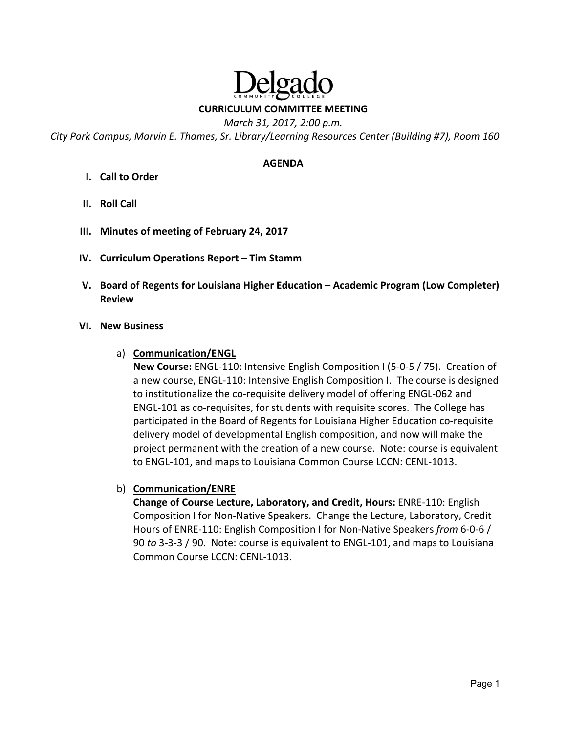# elga **CURRICULUM COMMITTEE MEETING**

*March 31, 2017, 2:00 p.m.* 

*City Park Campus, Marvin E. Thames, Sr. Library/Learning Resources Center (Building #7), Room 160* 

#### **AGENDA**

- **I. Call to Order**
- **II. Roll Call**
- **III. Minutes of meeting of February 24, 2017**
- **IV. Curriculum Operations Report Tim Stamm**
- **V. Board of Regents for Louisiana Higher Education Academic Program (Low Completer) Review**

#### **VI. New Business**

a) **Communication/ENGL** 

**New Course:** ENGL‐110: Intensive English Composition I (5‐0‐5 / 75). Creation of a new course, ENGL‐110: Intensive English Composition I. The course is designed to institutionalize the co-requisite delivery model of offering ENGL-062 and ENGL‐101 as co‐requisites, for students with requisite scores. The College has participated in the Board of Regents for Louisiana Higher Education co‐requisite delivery model of developmental English composition, and now will make the project permanent with the creation of a new course. Note: course is equivalent to ENGL‐101, and maps to Louisiana Common Course LCCN: CENL‐1013.

b) **Communication/ENRE** 

**Change of Course Lecture, Laboratory, and Credit, Hours:** ENRE‐110: English Composition I for Non‐Native Speakers. Change the Lecture, Laboratory, Credit Hours of ENRE‐110: English Composition I for Non‐Native Speakers *from* 6‐0‐6 / 90 *to* 3‐3‐3 / 90. Note: course is equivalent to ENGL‐101, and maps to Louisiana Common Course LCCN: CENL‐1013.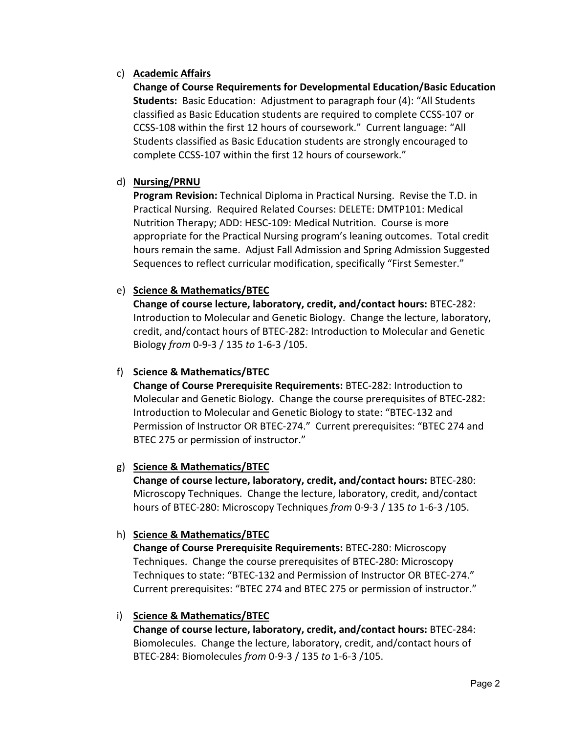## c) **Academic Affairs**

**Change of Course Requirements for Developmental Education/Basic Education Students:** Basic Education: Adjustment to paragraph four (4): "All Students classified as Basic Education students are required to complete CCSS‐107 or CCSS‐108 within the first 12 hours of coursework." Current language: "All Students classified as Basic Education students are strongly encouraged to complete CCSS‐107 within the first 12 hours of coursework."

## d) **Nursing/PRNU**

**Program Revision:** Technical Diploma in Practical Nursing. Revise the T.D. in Practical Nursing. Required Related Courses: DELETE: DMTP101: Medical Nutrition Therapy; ADD: HESC‐109: Medical Nutrition. Course is more appropriate for the Practical Nursing program's leaning outcomes. Total credit hours remain the same. Adjust Fall Admission and Spring Admission Suggested Sequences to reflect curricular modification, specifically "First Semester."

## e) **Science & Mathematics/BTEC**

**Change of course lecture, laboratory, credit, and/contact hours:** BTEC‐282: Introduction to Molecular and Genetic Biology. Change the lecture, laboratory, credit, and/contact hours of BTEC‐282: Introduction to Molecular and Genetic Biology *from* 0‐9‐3 / 135 *to* 1‐6‐3 /105.

## f) **Science & Mathematics/BTEC**

**Change of Course Prerequisite Requirements:** BTEC‐282: Introduction to Molecular and Genetic Biology. Change the course prerequisites of BTEC‐282: Introduction to Molecular and Genetic Biology to state: "BTEC‐132 and Permission of Instructor OR BTEC‐274." Current prerequisites: "BTEC 274 and BTEC 275 or permission of instructor."

#### g) **Science & Mathematics/BTEC**

**Change of course lecture, laboratory, credit, and/contact hours:** BTEC‐280: Microscopy Techniques. Change the lecture, laboratory, credit, and/contact hours of BTEC‐280: Microscopy Techniques *from* 0‐9‐3 / 135 *to* 1‐6‐3 /105.

#### h) **Science & Mathematics/BTEC**

**Change of Course Prerequisite Requirements:** BTEC‐280: Microscopy Techniques. Change the course prerequisites of BTEC‐280: Microscopy Techniques to state: "BTEC‐132 and Permission of Instructor OR BTEC‐274." Current prerequisites: "BTEC 274 and BTEC 275 or permission of instructor."

#### i) **Science & Mathematics/BTEC**

**Change of course lecture, laboratory, credit, and/contact hours:** BTEC‐284: Biomolecules. Change the lecture, laboratory, credit, and/contact hours of BTEC‐284: Biomolecules *from* 0‐9‐3 / 135 *to* 1‐6‐3 /105.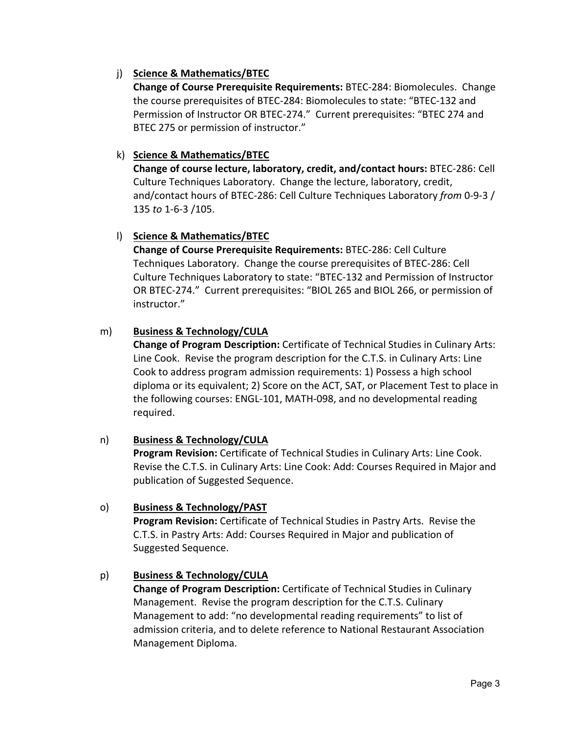## j) **Science & Mathematics/BTEC**

**Change of Course Prerequisite Requirements:** BTEC‐284: Biomolecules. Change the course prerequisites of BTEC‐284: Biomolecules to state: "BTEC‐132 and Permission of Instructor OR BTEC‐274." Current prerequisites: "BTEC 274 and BTEC 275 or permission of instructor."

## k) **Science & Mathematics/BTEC**

**Change of course lecture, laboratory, credit, and/contact hours:** BTEC‐286: Cell Culture Techniques Laboratory. Change the lecture, laboratory, credit, and/contact hours of BTEC‐286: Cell Culture Techniques Laboratory *from* 0‐9‐3 / 135 *to* 1‐6‐3 /105.

## l) **Science & Mathematics/BTEC**

**Change of Course Prerequisite Requirements:** BTEC‐286: Cell Culture Techniques Laboratory. Change the course prerequisites of BTEC‐286: Cell Culture Techniques Laboratory to state: "BTEC‐132 and Permission of Instructor OR BTEC‐274." Current prerequisites: "BIOL 265 and BIOL 266, or permission of instructor."

## m) **Business & Technology/CULA**

**Change of Program Description:** Certificate of Technical Studies in Culinary Arts: Line Cook. Revise the program description for the C.T.S. in Culinary Arts: Line Cook to address program admission requirements: 1) Possess a high school diploma or its equivalent; 2) Score on the ACT, SAT, or Placement Test to place in the following courses: ENGL‐101, MATH‐098, and no developmental reading required.

## n) **Business & Technology/CULA**

**Program Revision:** Certificate of Technical Studies in Culinary Arts: Line Cook. Revise the C.T.S. in Culinary Arts: Line Cook: Add: Courses Required in Major and publication of Suggested Sequence.

## o) **Business & Technology/PAST**

**Program Revision:** Certificate of Technical Studies in Pastry Arts. Revise the C.T.S. in Pastry Arts: Add: Courses Required in Major and publication of Suggested Sequence.

## p) **Business & Technology/CULA**

**Change of Program Description:** Certificate of Technical Studies in Culinary Management. Revise the program description for the C.T.S. Culinary Management to add: "no developmental reading requirements" to list of admission criteria, and to delete reference to National Restaurant Association Management Diploma.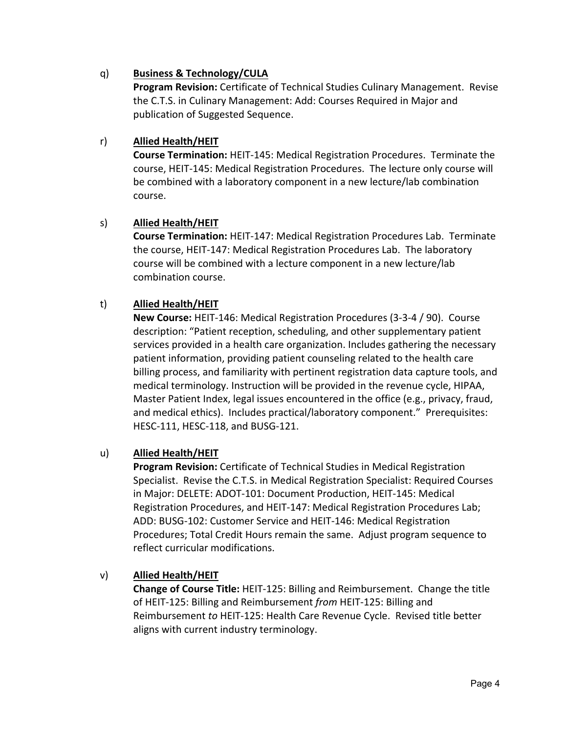## q) **Business & Technology/CULA**

**Program Revision:** Certificate of Technical Studies Culinary Management. Revise the C.T.S. in Culinary Management: Add: Courses Required in Major and publication of Suggested Sequence.

## r) **Allied Health/HEIT**

**Course Termination:** HEIT‐145: Medical Registration Procedures. Terminate the course, HEIT‐145: Medical Registration Procedures. The lecture only course will be combined with a laboratory component in a new lecture/lab combination course.

## s) **Allied Health/HEIT**

**Course Termination:** HEIT‐147: Medical Registration Procedures Lab. Terminate the course, HEIT‐147: Medical Registration Procedures Lab. The laboratory course will be combined with a lecture component in a new lecture/lab combination course.

## t) **Allied Health/HEIT**

**New Course:** HEIT‐146: Medical Registration Procedures (3‐3‐4 / 90). Course description: "Patient reception, scheduling, and other supplementary patient services provided in a health care organization. Includes gathering the necessary patient information, providing patient counseling related to the health care billing process, and familiarity with pertinent registration data capture tools, and medical terminology. Instruction will be provided in the revenue cycle, HIPAA, Master Patient Index, legal issues encountered in the office (e.g., privacy, fraud, and medical ethics). Includes practical/laboratory component." Prerequisites: HESC‐111, HESC‐118, and BUSG‐121.

#### u) **Allied Health/HEIT**

**Program Revision:** Certificate of Technical Studies in Medical Registration Specialist. Revise the C.T.S. in Medical Registration Specialist: Required Courses in Major: DELETE: ADOT‐101: Document Production, HEIT‐145: Medical Registration Procedures, and HEIT‐147: Medical Registration Procedures Lab; ADD: BUSG‐102: Customer Service and HEIT‐146: Medical Registration Procedures; Total Credit Hours remain the same. Adjust program sequence to reflect curricular modifications.

#### v) **Allied Health/HEIT**

**Change of Course Title:** HEIT‐125: Billing and Reimbursement. Change the title of HEIT‐125: Billing and Reimbursement *from* HEIT‐125: Billing and Reimbursement *to* HEIT‐125: Health Care Revenue Cycle. Revised title better aligns with current industry terminology.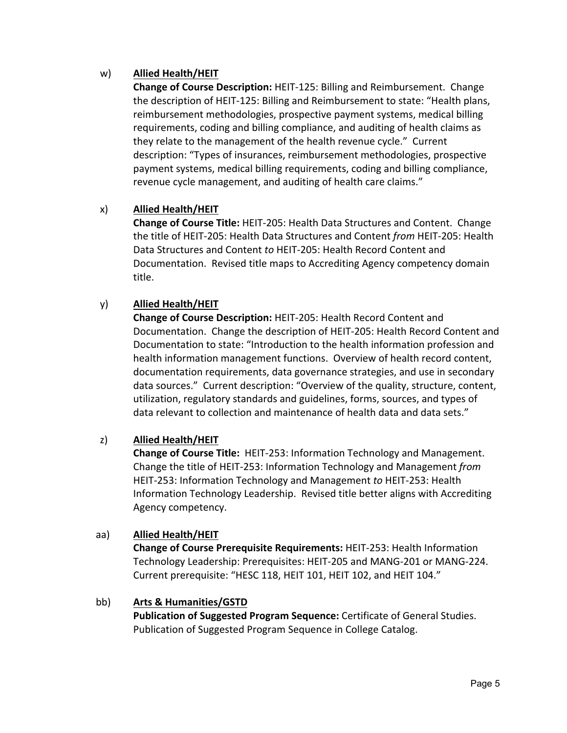## w) **Allied Health/HEIT**

**Change of Course Description:** HEIT‐125: Billing and Reimbursement. Change the description of HEIT‐125: Billing and Reimbursement to state: "Health plans, reimbursement methodologies, prospective payment systems, medical billing requirements, coding and billing compliance, and auditing of health claims as they relate to the management of the health revenue cycle." Current description: "Types of insurances, reimbursement methodologies, prospective payment systems, medical billing requirements, coding and billing compliance, revenue cycle management, and auditing of health care claims."

## x) **Allied Health/HEIT**

**Change of Course Title:** HEIT‐205: Health Data Structures and Content. Change the title of HEIT‐205: Health Data Structures and Content *from* HEIT‐205: Health Data Structures and Content *to* HEIT‐205: Health Record Content and Documentation. Revised title maps to Accrediting Agency competency domain title.

## y) **Allied Health/HEIT**

**Change of Course Description:** HEIT‐205: Health Record Content and Documentation. Change the description of HEIT‐205: Health Record Content and Documentation to state: "Introduction to the health information profession and health information management functions. Overview of health record content, documentation requirements, data governance strategies, and use in secondary data sources." Current description: "Overview of the quality, structure, content, utilization, regulatory standards and guidelines, forms, sources, and types of data relevant to collection and maintenance of health data and data sets."

## z) **Allied Health/HEIT**

**Change of Course Title: HEIT-253: Information Technology and Management.** Change the title of HEIT‐253: Information Technology and Management *from*  HEIT‐253: Information Technology and Management *to* HEIT‐253: Health Information Technology Leadership. Revised title better aligns with Accrediting Agency competency.

## aa) **Allied Health/HEIT**

**Change of Course Prerequisite Requirements:** HEIT‐253: Health Information Technology Leadership: Prerequisites: HEIT‐205 and MANG‐201 or MANG‐224. Current prerequisite: "HESC 118, HEIT 101, HEIT 102, and HEIT 104."

#### bb) **Arts & Humanities/GSTD**

**Publication of Suggested Program Sequence:** Certificate of General Studies. Publication of Suggested Program Sequence in College Catalog.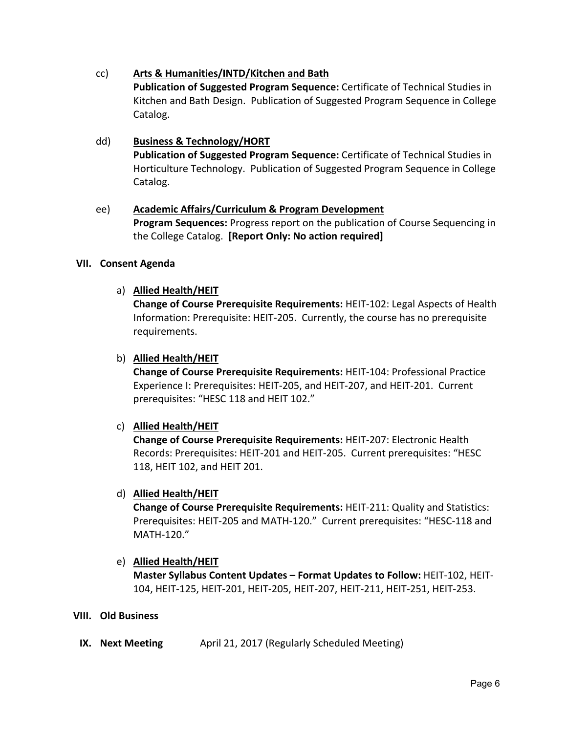## cc) **Arts & Humanities/INTD/Kitchen and Bath**

**Publication of Suggested Program Sequence:** Certificate of Technical Studies in Kitchen and Bath Design. Publication of Suggested Program Sequence in College Catalog.

## dd) **Business & Technology/HORT**

**Publication of Suggested Program Sequence:** Certificate of Technical Studies in Horticulture Technology. Publication of Suggested Program Sequence in College Catalog.

## ee) **Academic Affairs/Curriculum & Program Development**

**Program Sequences:** Progress report on the publication of Course Sequencing in the College Catalog. **[Report Only: No action required]**

#### **VII. Consent Agenda**

## a) **Allied Health/HEIT**

**Change of Course Prerequisite Requirements:** HEIT‐102: Legal Aspects of Health Information: Prerequisite: HEIT‐205. Currently, the course has no prerequisite requirements.

#### b) **Allied Health/HEIT**

**Change of Course Prerequisite Requirements:** HEIT‐104: Professional Practice Experience I: Prerequisites: HEIT‐205, and HEIT‐207, and HEIT‐201. Current prerequisites: "HESC 118 and HEIT 102."

#### c) **Allied Health/HEIT**

**Change of Course Prerequisite Requirements:** HEIT‐207: Electronic Health Records: Prerequisites: HEIT‐201 and HEIT‐205. Current prerequisites: "HESC 118, HEIT 102, and HEIT 201.

#### d) **Allied Health/HEIT**

**Change of Course Prerequisite Requirements:** HEIT‐211: Quality and Statistics: Prerequisites: HEIT‐205 and MATH‐120." Current prerequisites: "HESC‐118 and MATH‐120."

## e) **Allied Health/HEIT**

**Master Syllabus Content Updates – Format Updates to Follow:** HEIT‐102, HEIT‐ 104, HEIT‐125, HEIT‐201, HEIT‐205, HEIT‐207, HEIT‐211, HEIT‐251, HEIT‐253.

#### **VIII. Old Business**

**IX. Next Meeting April 21, 2017 (Regularly Scheduled Meeting)**